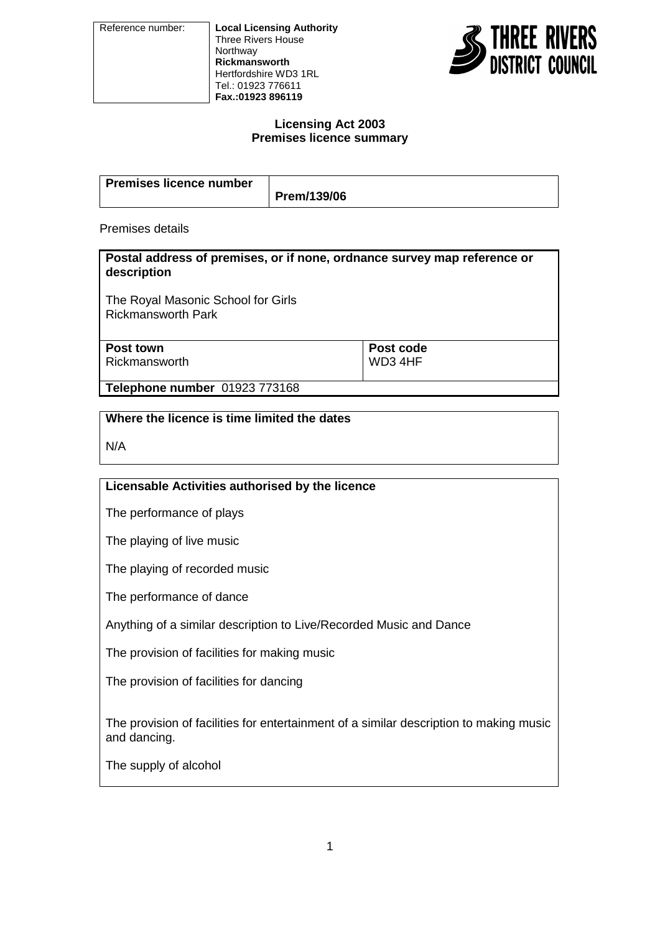Reference number: **Local Licensing Authority** Three Rivers House Northway **Rickmansworth** Hertfordshire WD3 1RL Tel.: 01923 776611 **Fax.:01923 896119**



### **Licensing Act 2003 Premises licence summary**

| <b>Premises licence number</b> |             |
|--------------------------------|-------------|
|                                | Prem/139/06 |

Premises details

| Postal address of premises, or if none, ordnance survey map reference or<br>description |           |
|-----------------------------------------------------------------------------------------|-----------|
| The Royal Masonic School for Girls<br><b>Rickmansworth Park</b>                         |           |
| <b>Post town</b>                                                                        | Post code |
| Rickmansworth                                                                           | WD3 4HF   |
| Telephone number 01923 773168                                                           |           |

| Where the licence is time limited the dates |  |
|---------------------------------------------|--|
| N/A                                         |  |

## **Licensable Activities authorised by the licence**

The performance of plays

The playing of live music

The playing of recorded music

The performance of dance

Anything of a similar description to Live/Recorded Music and Dance

The provision of facilities for making music

The provision of facilities for dancing

The provision of facilities for entertainment of a similar description to making music and dancing.

The supply of alcohol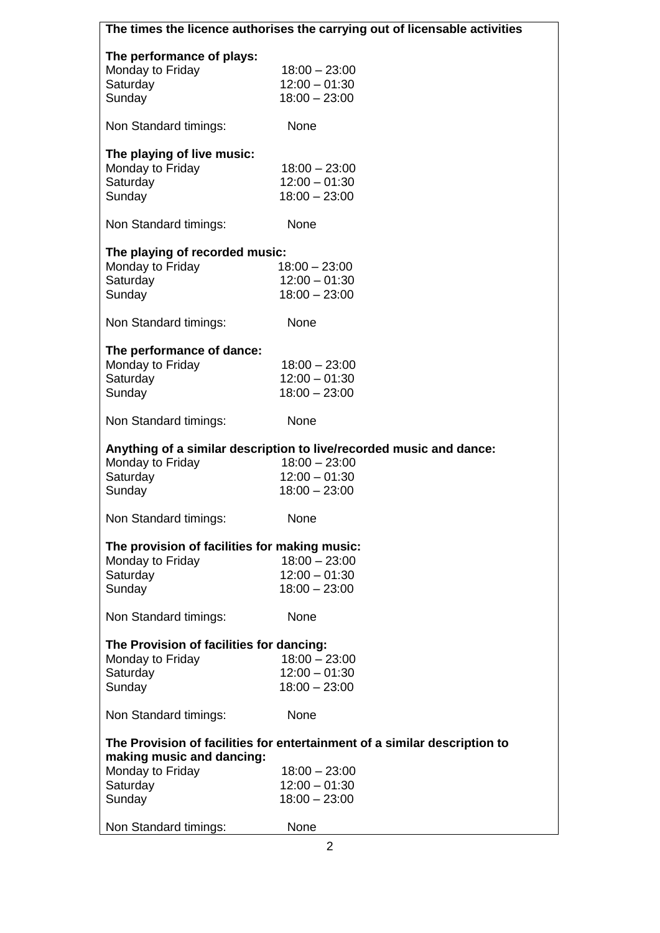|                                               | The times the licence authorises the carrying out of licensable activities |  |  |
|-----------------------------------------------|----------------------------------------------------------------------------|--|--|
| The performance of plays:                     |                                                                            |  |  |
| Monday to Friday                              | $18:00 - 23:00$                                                            |  |  |
| Saturday                                      | $12:00 - 01:30$                                                            |  |  |
| Sunday                                        | $18:00 - 23:00$                                                            |  |  |
|                                               |                                                                            |  |  |
| Non Standard timings:                         | None                                                                       |  |  |
| The playing of live music:                    |                                                                            |  |  |
| Monday to Friday                              | $18:00 - 23:00$                                                            |  |  |
| Saturday                                      | $12:00 - 01:30$                                                            |  |  |
| Sunday                                        | $18:00 - 23:00$                                                            |  |  |
| Non Standard timings:                         | None                                                                       |  |  |
| The playing of recorded music:                |                                                                            |  |  |
| Monday to Friday                              | $18:00 - 23:00$                                                            |  |  |
| Saturday                                      | $12:00 - 01:30$                                                            |  |  |
| Sunday                                        | $18:00 - 23:00$                                                            |  |  |
|                                               |                                                                            |  |  |
| Non Standard timings:                         | None                                                                       |  |  |
| The performance of dance:                     |                                                                            |  |  |
| Monday to Friday                              | $18:00 - 23:00$                                                            |  |  |
| Saturday                                      | $12:00 - 01:30$                                                            |  |  |
| Sunday                                        | $18:00 - 23:00$                                                            |  |  |
| Non Standard timings:                         | None                                                                       |  |  |
|                                               | Anything of a similar description to live/recorded music and dance:        |  |  |
| Monday to Friday                              | $18:00 - 23:00$                                                            |  |  |
| Saturday                                      | $12:00 - 01:30$                                                            |  |  |
| Sunday                                        | $18:00 - 23:00$                                                            |  |  |
|                                               |                                                                            |  |  |
| Non Standard timings:                         | None                                                                       |  |  |
|                                               |                                                                            |  |  |
| The provision of facilities for making music: |                                                                            |  |  |
| Monday to Friday                              | $18:00 - 23:00$                                                            |  |  |
|                                               | $12:00 - 01:30$                                                            |  |  |
| Saturday<br>Sunday                            | $18:00 - 23:00$                                                            |  |  |
| Non Standard timings:                         | None                                                                       |  |  |
|                                               |                                                                            |  |  |
| The Provision of facilities for dancing:      |                                                                            |  |  |
| Monday to Friday                              | $18:00 - 23:00$                                                            |  |  |
| Saturday                                      | $12:00 - 01:30$                                                            |  |  |
| Sunday                                        | $18:00 - 23:00$                                                            |  |  |
| Non Standard timings:                         | None                                                                       |  |  |
|                                               | The Provision of facilities for entertainment of a similar description to  |  |  |
| making music and dancing:                     |                                                                            |  |  |
| Monday to Friday                              | $18:00 - 23:00$                                                            |  |  |
|                                               | $12:00 - 01:30$                                                            |  |  |
| Saturday<br>Sunday                            | $18:00 - 23:00$                                                            |  |  |
|                                               |                                                                            |  |  |
| Non Standard timings:                         | None                                                                       |  |  |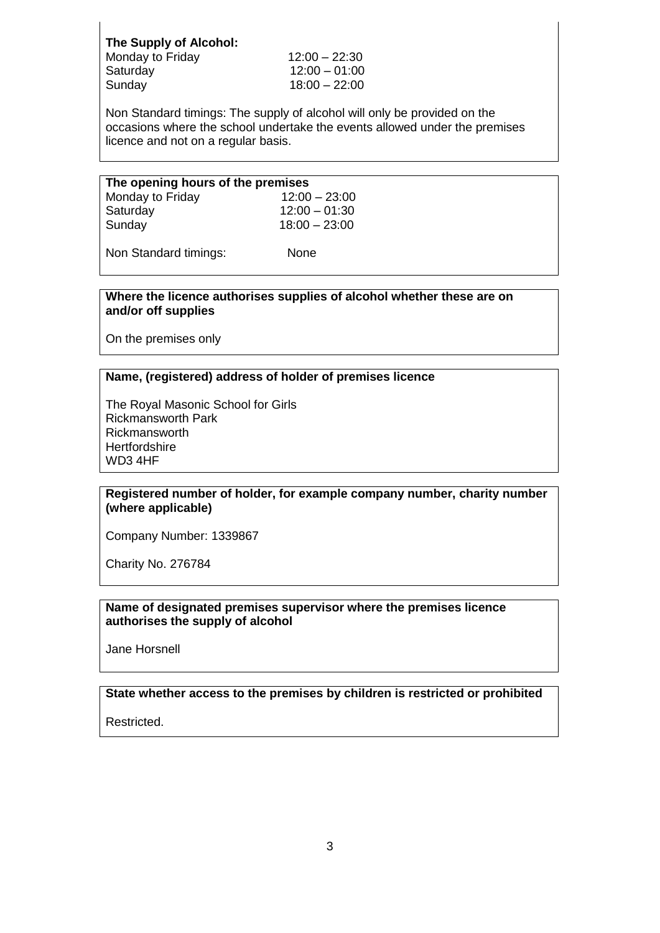**The Supply of Alcohol:** Monday to Friday  $12:00 - 22:30$ Saturday 12:00 – 01:00 Sunday 18:00 – 22:00

Non Standard timings: The supply of alcohol will only be provided on the occasions where the school undertake the events allowed under the premises licence and not on a regular basis.

| The opening hours of the premises |                 |  |
|-----------------------------------|-----------------|--|
| Monday to Friday                  | $12:00 - 23:00$ |  |
| Saturday                          | $12:00 - 01:30$ |  |
| Sunday                            | $18:00 - 23:00$ |  |
|                                   |                 |  |
| Non Standard timings:             | None            |  |
|                                   |                 |  |

### **Where the licence authorises supplies of alcohol whether these are on and/or off supplies**

On the premises only

## **Name, (registered) address of holder of premises licence**

The Royal Masonic School for Girls Rickmansworth Park Rickmansworth **Hertfordshire** WD3 4HF

#### **Registered number of holder, for example company number, charity number (where applicable)**

Company Number: 1339867

Charity No. 276784

#### **Name of designated premises supervisor where the premises licence authorises the supply of alcohol**

Jane Horsnell

## **State whether access to the premises by children is restricted or prohibited**

Restricted.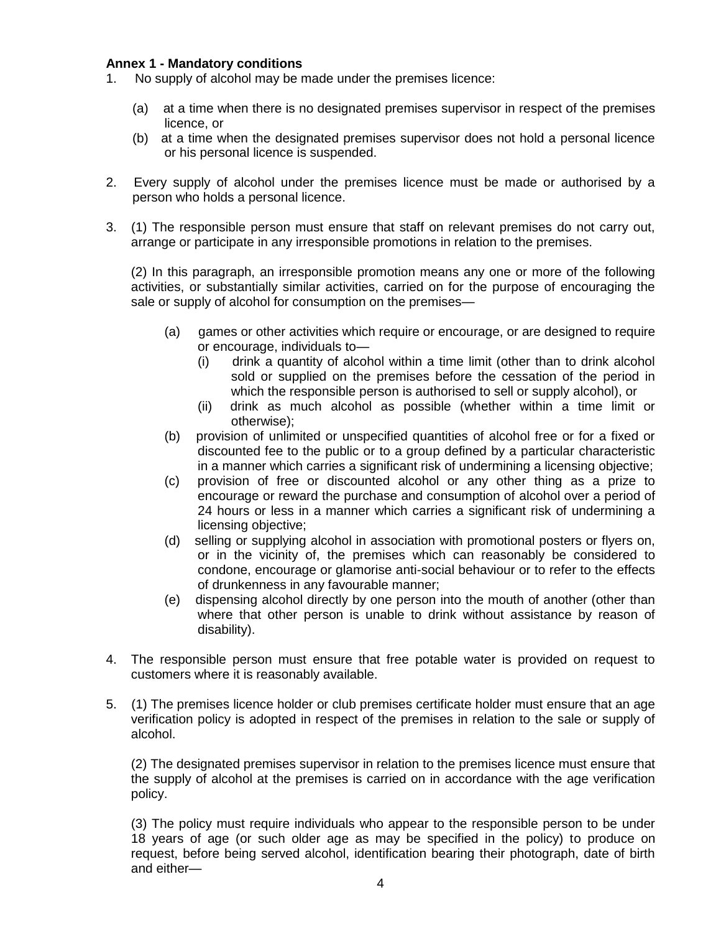### **Annex 1 - Mandatory conditions**

- 1. No supply of alcohol may be made under the premises licence:
	- (a) at a time when there is no designated premises supervisor in respect of the premises licence, or
	- (b) at a time when the designated premises supervisor does not hold a personal licence or his personal licence is suspended.
- 2. Every supply of alcohol under the premises licence must be made or authorised by a person who holds a personal licence.
- 3. (1) The responsible person must ensure that staff on relevant premises do not carry out, arrange or participate in any irresponsible promotions in relation to the premises.

(2) In this paragraph, an irresponsible promotion means any one or more of the following activities, or substantially similar activities, carried on for the purpose of encouraging the sale or supply of alcohol for consumption on the premises—

- (a) games or other activities which require or encourage, or are designed to require or encourage, individuals to—
	- (i) drink a quantity of alcohol within a time limit (other than to drink alcohol sold or supplied on the premises before the cessation of the period in which the responsible person is authorised to sell or supply alcohol), or
	- (ii) drink as much alcohol as possible (whether within a time limit or otherwise);
- (b) provision of unlimited or unspecified quantities of alcohol free or for a fixed or discounted fee to the public or to a group defined by a particular characteristic in a manner which carries a significant risk of undermining a licensing objective;
- (c) provision of free or discounted alcohol or any other thing as a prize to encourage or reward the purchase and consumption of alcohol over a period of 24 hours or less in a manner which carries a significant risk of undermining a licensing objective;
- (d) selling or supplying alcohol in association with promotional posters or flyers on, or in the vicinity of, the premises which can reasonably be considered to condone, encourage or glamorise anti-social behaviour or to refer to the effects of drunkenness in any favourable manner;
- (e) dispensing alcohol directly by one person into the mouth of another (other than where that other person is unable to drink without assistance by reason of disability).
- 4. The responsible person must ensure that free potable water is provided on request to customers where it is reasonably available.
- 5. (1) The premises licence holder or club premises certificate holder must ensure that an age verification policy is adopted in respect of the premises in relation to the sale or supply of alcohol.

(2) The designated premises supervisor in relation to the premises licence must ensure that the supply of alcohol at the premises is carried on in accordance with the age verification policy.

(3) The policy must require individuals who appear to the responsible person to be under 18 years of age (or such older age as may be specified in the policy) to produce on request, before being served alcohol, identification bearing their photograph, date of birth and either—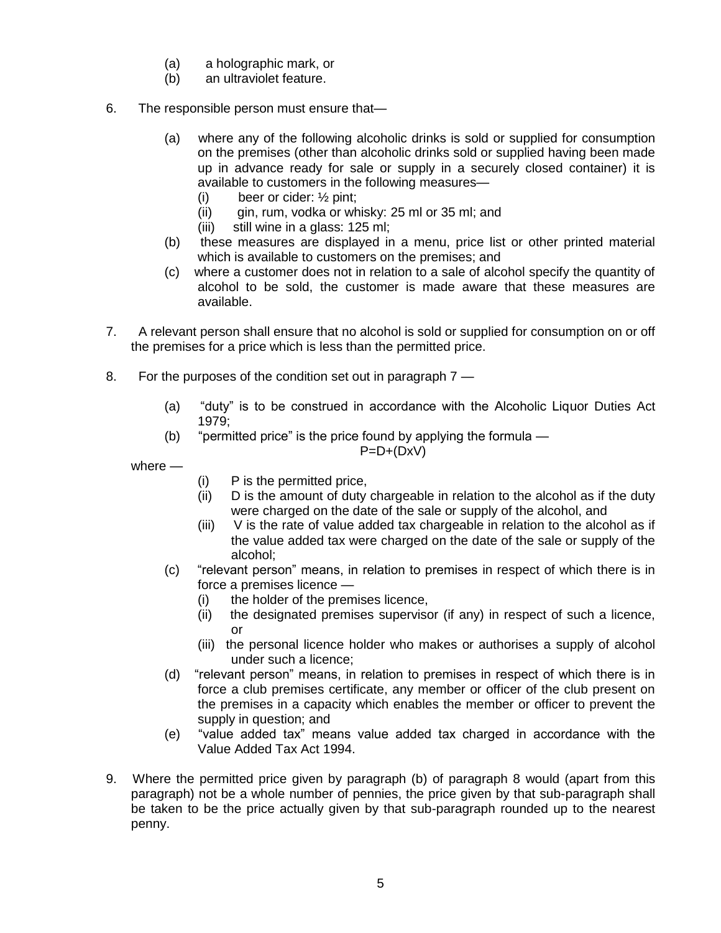- (a) a holographic mark, or
- (b) an ultraviolet feature.
- 6. The responsible person must ensure that—
	- (a) where any of the following alcoholic drinks is sold or supplied for consumption on the premises (other than alcoholic drinks sold or supplied having been made up in advance ready for sale or supply in a securely closed container) it is available to customers in the following measures—
		- (i) beer or cider: ½ pint;
		- (ii) gin, rum, vodka or whisky: 25 ml or 35 ml; and
		- (iii) still wine in a glass: 125 ml;
	- (b) these measures are displayed in a menu, price list or other printed material which is available to customers on the premises; and
	- (c) where a customer does not in relation to a sale of alcohol specify the quantity of alcohol to be sold, the customer is made aware that these measures are available.
- 7. A relevant person shall ensure that no alcohol is sold or supplied for consumption on or off the premises for a price which is less than the permitted price.
- 8. For the purposes of the condition set out in paragraph 7
	- (a) "duty" is to be construed in accordance with the Alcoholic Liquor Duties Act 1979;
	- (b) "permitted price" is the price found by applying the formula —

$$
P = D + (D \times V)
$$

where —

- (i) P is the permitted price,
- (ii) D is the amount of duty chargeable in relation to the alcohol as if the duty were charged on the date of the sale or supply of the alcohol, and
- (iii) V is the rate of value added tax chargeable in relation to the alcohol as if the value added tax were charged on the date of the sale or supply of the alcohol;
- (c) "relevant person" means, in relation to premises in respect of which there is in force a premises licence —
	- (i) the holder of the premises licence,
	- (ii) the designated premises supervisor (if any) in respect of such a licence, or
	- (iii) the personal licence holder who makes or authorises a supply of alcohol under such a licence;
- (d) "relevant person" means, in relation to premises in respect of which there is in force a club premises certificate, any member or officer of the club present on the premises in a capacity which enables the member or officer to prevent the supply in question; and
- (e) "value added tax" means value added tax charged in accordance with the Value Added Tax Act 1994.
- 9. Where the permitted price given by paragraph (b) of paragraph 8 would (apart from this paragraph) not be a whole number of pennies, the price given by that sub-paragraph shall be taken to be the price actually given by that sub-paragraph rounded up to the nearest penny.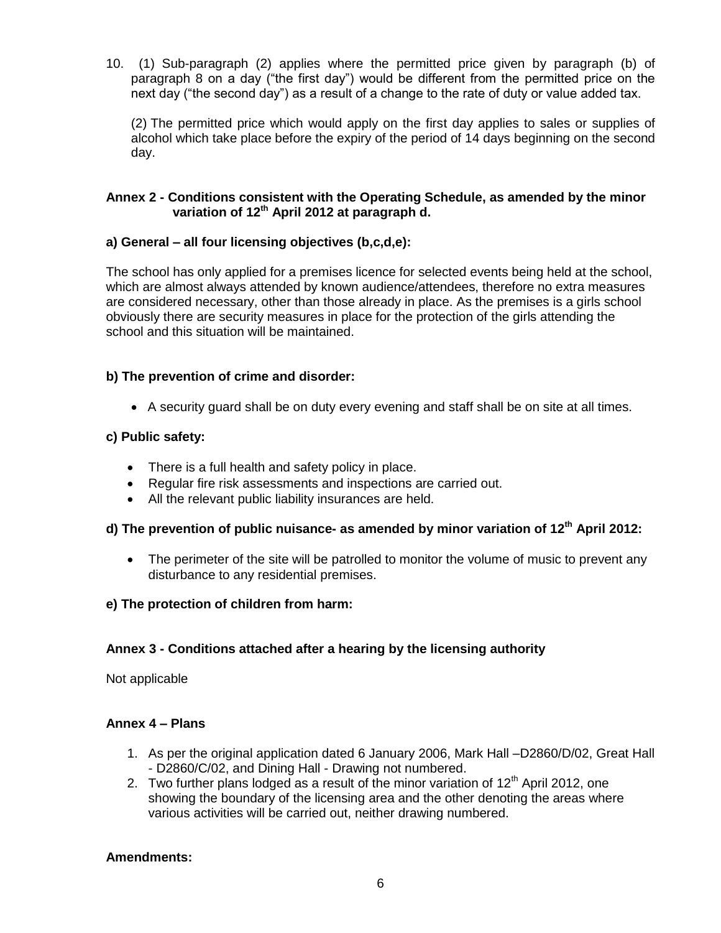10. (1) Sub-paragraph (2) applies where the permitted price given by paragraph (b) of paragraph 8 on a day ("the first day") would be different from the permitted price on the next day ("the second day") as a result of a change to the rate of duty or value added tax.

(2) The permitted price which would apply on the first day applies to sales or supplies of alcohol which take place before the expiry of the period of 14 days beginning on the second day.

### **Annex 2 - Conditions consistent with the Operating Schedule, as amended by the minor variation of 12th April 2012 at paragraph d.**

# **a) General – all four licensing objectives (b,c,d,e):**

The school has only applied for a premises licence for selected events being held at the school, which are almost always attended by known audience/attendees, therefore no extra measures are considered necessary, other than those already in place. As the premises is a girls school obviously there are security measures in place for the protection of the girls attending the school and this situation will be maintained.

# **b) The prevention of crime and disorder:**

A security guard shall be on duty every evening and staff shall be on site at all times.

## **c) Public safety:**

- There is a full health and safety policy in place.
- Regular fire risk assessments and inspections are carried out.
- All the relevant public liability insurances are held.

## **d) The prevention of public nuisance- as amended by minor variation of 12th April 2012:**

• The perimeter of the site will be patrolled to monitor the volume of music to prevent any disturbance to any residential premises.

## **e) The protection of children from harm:**

## **Annex 3 - Conditions attached after a hearing by the licensing authority**

Not applicable

## **Annex 4 – Plans**

- 1. As per the original application dated 6 January 2006, Mark Hall –D2860/D/02, Great Hall - D2860/C/02, and Dining Hall - Drawing not numbered.
- 2. Two further plans lodged as a result of the minor variation of  $12<sup>th</sup>$  April 2012, one showing the boundary of the licensing area and the other denoting the areas where various activities will be carried out, neither drawing numbered.

## **Amendments:**